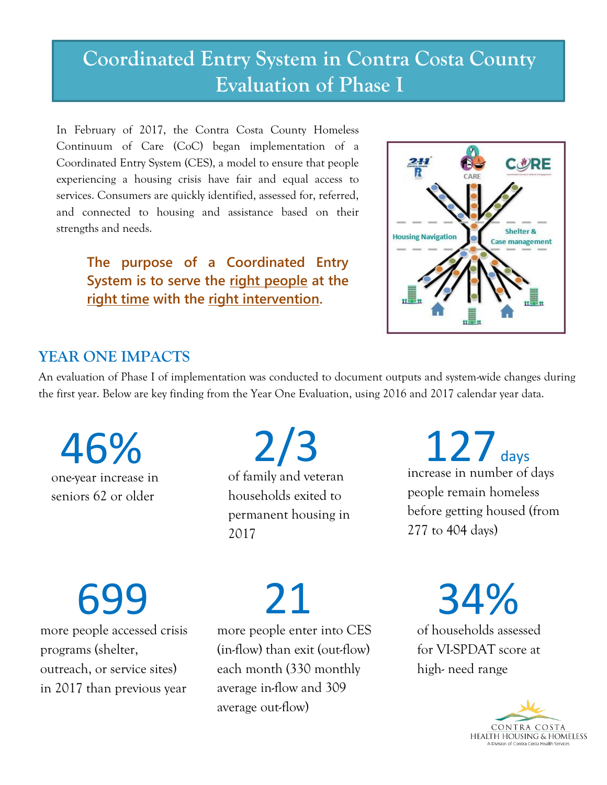# **Coordinated Entry System in Contra Costa County Evaluation of Phase I**

In February of 2017, the Contra Costa County Homeless Continuum of Care (CoC) began implementation of a Coordinated Entry System (CES), a model to ensure that people experiencing a housing crisis have fair and equal access to services. Consumers are quickly identified, assessed for, referred, and connected to housing and assistance based on their strengths and needs.

**The purpose of a Coordinated Entry System is to serve the right people at the right time with the right intervention.**



#### **YEAR ONE IMPACTS**

An evaluation of Phase I of implementation was conducted to document outputs and system-wide changes during the first year. Below are key finding from the Year One Evaluation, using 2016 and 2017 calendar year data.

one-year increase in seniors 62 or older 46%

of family and veteran households exited to permanent housing in 2/3

2017

127 days increase in number of days people remain homeless before getting housed (from 277 to 404 days)

more people accessed crisis programs (shelter, 699

outreach, or service sites) in 2017 than previous year 21

more people enter into CES (in-flow) than exit (out-flow) each month (330 monthly average in-flow and 309 average out-flow)

34%

of households assessed for VI-SPDAT score at high- need range

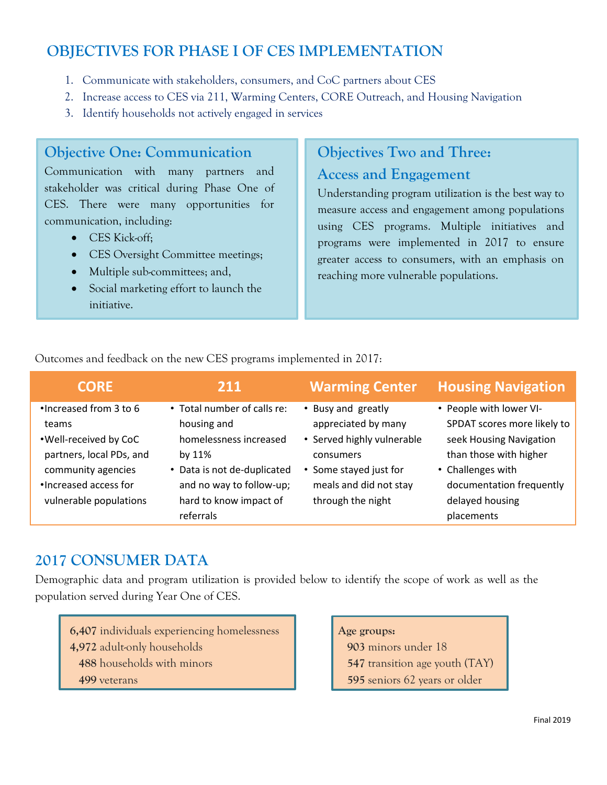## **OBJECTIVES FOR PHASE I OF CES IMPLEMENTATION**

- 1. Communicate with stakeholders, consumers, and CoC partners about CES
- 2. Increase access to CES via 211, Warming Centers, CORE Outreach, and Housing Navigation
- 3. Identify households not actively engaged in services

#### **Objective One: Communication**

Communication with many partners and stakeholder was critical during Phase One of CES. There were many opportunities for communication, including:

- CES Kick-off:
- CES Oversight Committee meetings;
- Multiple sub-committees; and,
- Social marketing effort to launch the initiative.

## **Objectives Two and Three: Access and Engagement**

Understanding program utilization is the best way to measure access and engagement among populations using CES programs. Multiple initiatives and programs were implemented in 2017 to ensure greater access to consumers, with an emphasis on reaching more vulnerable populations.

Outcomes and feedback on the new CES programs implemented in 2017:

| <b>CORE</b>                                                                                                                                                     | 211                                                                                                                                                                                 | <b>Warming Center</b>                                                                                                                                         | <b>Housing Navigation</b>                                                                                                                                                                     |
|-----------------------------------------------------------------------------------------------------------------------------------------------------------------|-------------------------------------------------------------------------------------------------------------------------------------------------------------------------------------|---------------------------------------------------------------------------------------------------------------------------------------------------------------|-----------------------------------------------------------------------------------------------------------------------------------------------------------------------------------------------|
| . Increased from 3 to 6<br>teams<br>. Well-received by CoC<br>partners, local PDs, and<br>community agencies<br>•Increased access for<br>vulnerable populations | • Total number of calls re:<br>housing and<br>homelessness increased<br>by $11\%$<br>• Data is not de-duplicated<br>and no way to follow-up;<br>hard to know impact of<br>referrals | • Busy and greatly<br>appreciated by many<br>• Served highly vulnerable<br>consumers<br>• Some stayed just for<br>meals and did not stay<br>through the night | • People with lower VI-<br>SPDAT scores more likely to<br>seek Housing Navigation<br>than those with higher<br>• Challenges with<br>documentation frequently<br>delayed housing<br>placements |

#### **2017 CONSUMER DATA**

Demographic data and program utilization is provided below to identify the scope of work as well as the population served during Year One of CES.

**6,407** individuals experiencing homelessness **4,972** adult-only households  **488** households with minors  **499** veterans

**Age groups:** minors under 18 transition age youth (TAY) seniors 62 years or older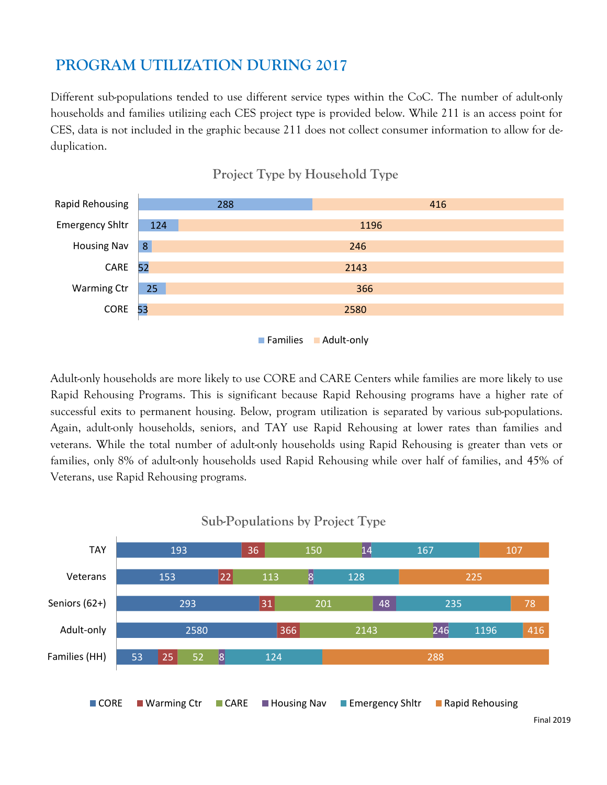# **PROGRAM UTILIZATION DURING 2017**

Different sub-populations tended to use different service types within the CoC. The number of adult-only households and families utilizing each CES project type is provided below. While 211 is an access point for CES, data is not included in the graphic because 211 does not collect consumer information to allow for deduplication.



**Project Type by Household Type**

Adult-only households are more likely to use CORE and CARE Centers while families are more likely to use Rapid Rehousing Programs. This is significant because Rapid Rehousing programs have a higher rate of successful exits to permanent housing. Below, program utilization is separated by various sub-populations. Again, adult-only households, seniors, and TAY use Rapid Rehousing at lower rates than families and veterans. While the total number of adult-only households using Rapid Rehousing is greater than vets or families, only 8% of adult-only households used Rapid Rehousing while over half of families, and 45% of Veterans, use Rapid Rehousing programs.



**Sub-Populations by Project Type**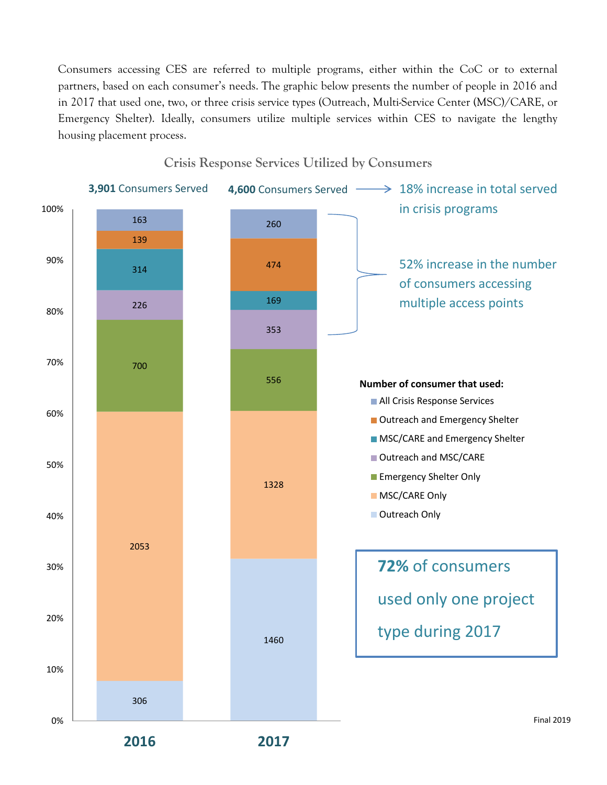Consumers accessing CES are referred to multiple programs, either within the CoC or to external partners, based on each consumer's needs. The graphic below presents the number of people in 2016 and in 2017 that used one, two, or three crisis service types (Outreach, Multi-Service Center (MSC)/CARE, or Emergency Shelter). Ideally, consumers utilize multiple services within CES to navigate the lengthy housing placement process.

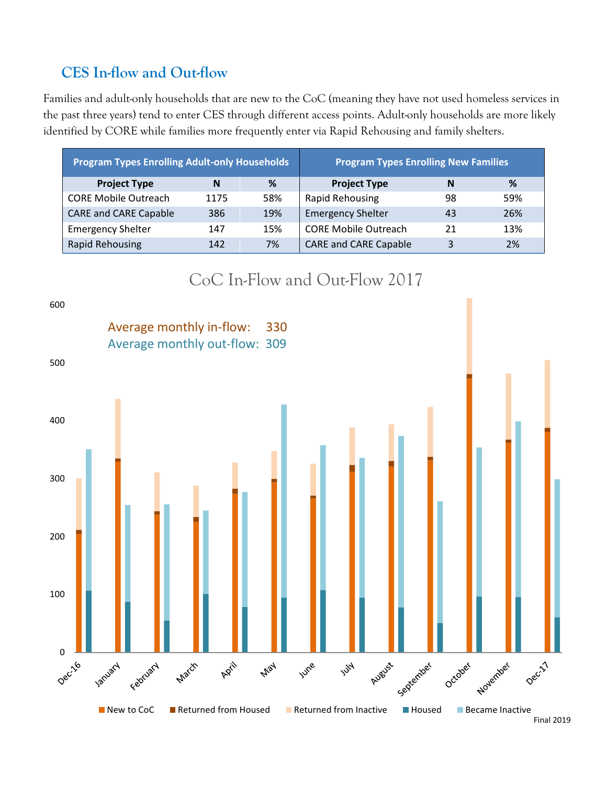# **CES In-flow and Out-flow**

Families and adult-only households that are new to the CoC (meaning they have not used homeless services in the past three years) tend to enter CES through different access points. Adult-only households are more likely identified by CORE while families more frequently enter via Rapid Rehousing and family shelters.

| <b>Program Types Enrolling Adult-only Households</b> |      | <b>Program Types Enrolling New Families</b> |                              |    |     |
|------------------------------------------------------|------|---------------------------------------------|------------------------------|----|-----|
| <b>Project Type</b>                                  | N    | %                                           | <b>Project Type</b>          | N  | %   |
| <b>CORE Mobile Outreach</b>                          | 1175 | 58%                                         | Rapid Rehousing              | 98 | 59% |
| <b>CARE and CARE Capable</b>                         | 386  | 19%                                         | <b>Emergency Shelter</b>     | 43 | 26% |
| <b>Emergency Shelter</b>                             | 147  | 15%                                         | <b>CORE Mobile Outreach</b>  | 21 | 13% |
| <b>Rapid Rehousing</b>                               | 142  | 7%                                          | <b>CARE and CARE Capable</b> | 3  | 2%  |



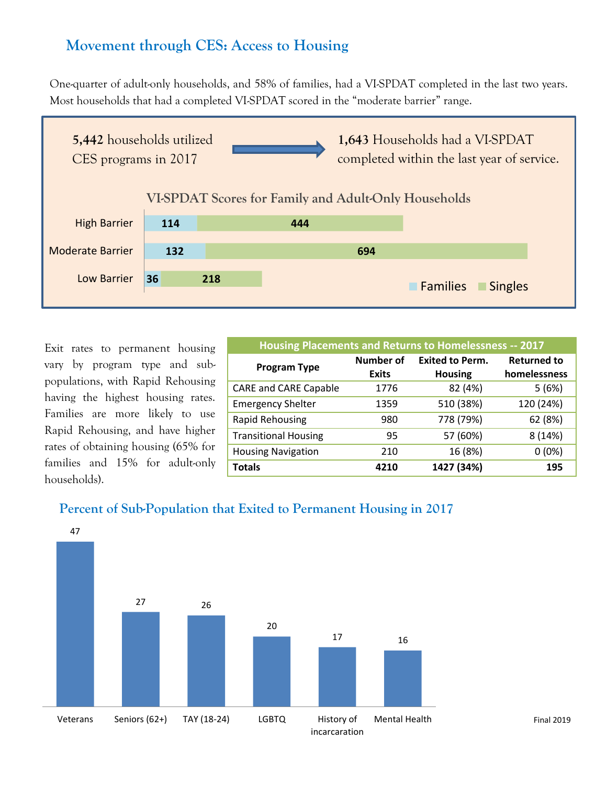## **Movement through CES: Access to Housing**

One-quarter of adult-only households, and 58% of families, had a VI-SPDAT completed in the last two years. Most households that had a completed VI-SPDAT scored in the "moderate barrier" range.



Exit rates to permanent housing vary by program type and subpopulations, with Rapid Rehousing having the highest housing rates. Families are more likely to use Rapid Rehousing, and have higher rates of obtaining housing (65% for families and 15% for adult-only households).

| Housing Placements and Returns to Homelessness -- 2017 |                  |                        |                    |
|--------------------------------------------------------|------------------|------------------------|--------------------|
| <b>Program Type</b>                                    | <b>Number of</b> | <b>Exited to Perm.</b> | <b>Returned to</b> |
|                                                        | <b>Exits</b>     | <b>Housing</b>         | homelessness       |
| <b>CARE and CARE Capable</b>                           | 1776             | 82 (4%)                | 5(6%)              |
| <b>Emergency Shelter</b>                               | 1359             | 510 (38%)              | 120 (24%)          |
| <b>Rapid Rehousing</b>                                 | 980              | 778 (79%)              | 62 (8%)            |
| <b>Transitional Housing</b>                            | 95               | 57 (60%)               | 8 (14%)            |
| <b>Housing Navigation</b>                              | 210              | 16 (8%)                | $0(0\%)$           |
| <b>Totals</b>                                          | 4210             | 1427 (34%)             | 195                |

#### **Percent of Sub-Population that Exited to Permanent Housing in 2017**



Final 2019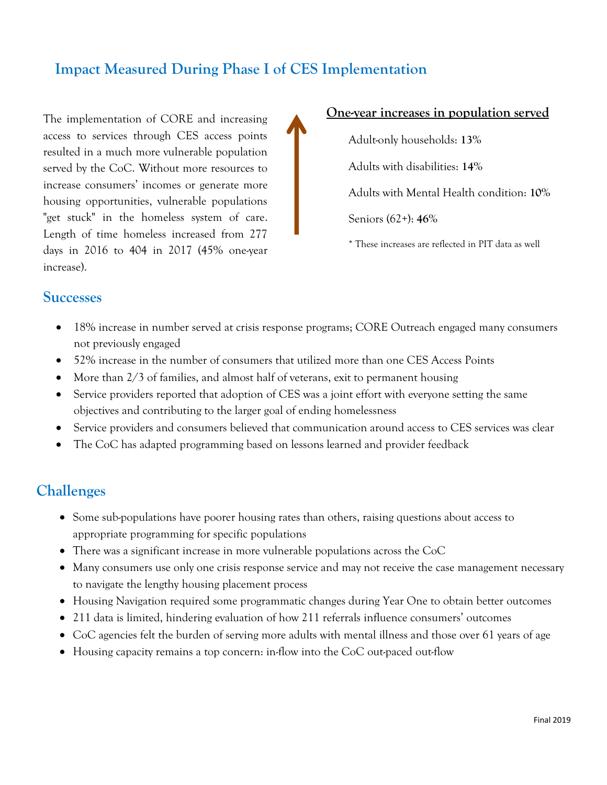## **Impact Measured During Phase I of CES Implementation**

The implementation of CORE and increasing access to services through CES access points resulted in a much more vulnerable population served by the CoC. Without more resources to increase consumers' incomes or generate more housing opportunities, vulnerable populations "get stuck" in the homeless system of care. Length of time homeless increased from 277 days in 2016 to 404 in 2017 (45% one-year increase).

#### **One-year increases in population served**

Adult-only households: **13%** Adults with disabilities: **14%** Adults with Mental Health condition: **10%** Seniors (62+): **46%** \* These increases are reflected in PIT data as well

#### **Successes**

- 18% increase in number served at crisis response programs; CORE Outreach engaged many consumers not previously engaged
- 52% increase in the number of consumers that utilized more than one CES Access Points
- More than 2/3 of families, and almost half of veterans, exit to permanent housing
- Service providers reported that adoption of CES was a joint effort with everyone setting the same objectives and contributing to the larger goal of ending homelessness
- Service providers and consumers believed that communication around access to CES services was clear
- The CoC has adapted programming based on lessons learned and provider feedback

#### **Challenges**

- Some sub-populations have poorer housing rates than others, raising questions about access to appropriate programming for specific populations
- There was a significant increase in more vulnerable populations across the CoC
- Many consumers use only one crisis response service and may not receive the case management necessary to navigate the lengthy housing placement process
- Housing Navigation required some programmatic changes during Year One to obtain better outcomes
- 211 data is limited, hindering evaluation of how 211 referrals influence consumers' outcomes
- CoC agencies felt the burden of serving more adults with mental illness and those over 61 years of age
- Housing capacity remains a top concern: in-flow into the CoC out-paced out-flow